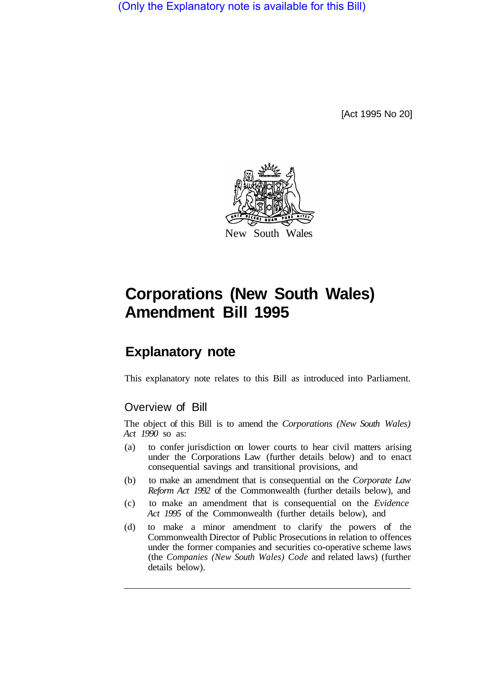(Only the Explanatory note is available for this Bill)

[Act 1995 No 20]



# **Corporations (New South Wales) Amendment Bill 1995**

# **Explanatory note**

This explanatory note relates to this Bill as introduced into Parliament.

### Overview of Bill

The object of this Bill is to amend the *Corporations (New South Wales) Act 1990* so as:

- (a) to confer jurisdiction on lower courts to hear civil matters arising under the Corporations Law (further details below) and to enact consequential savings and transitional provisions, and
- (b) to make an amendment that is consequential on the *Corporate Law Reform Act 1992* of the Commonwealth (further details below), and
- (c) to make an amendment that is consequential on the *Evidence Act 1995* of the Commonwealth (further details below), and
- (d) to make a minor amendment to clarify the powers of the Commonwealth Director of Public Prosecutions in relation to offences under the former companies and securities co-operative scheme laws (the *Companies (New South Wales) Code* and related laws) (further details below).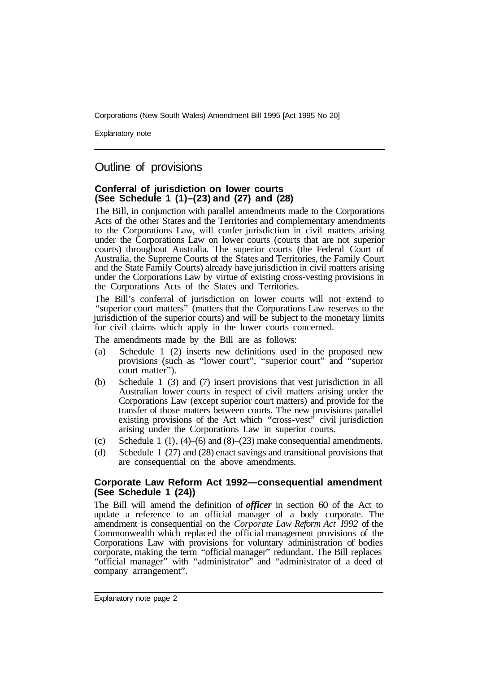Corporations (New South Wales) Amendment Bill 1995 [Act 1995 No 20]

Explanatory note

## Outline of provisions

#### **Conferral of jurisdiction on lower courts (See Schedule 1 (1)–(23) and (27) and (28)**

The Bill, in conjunction with parallel amendments made to the Corporations Acts of the other States and the Territories and complementary amendments to the Corporations Law, will confer jurisdiction in civil matters arising under the Corporations Law on lower courts (courts that are not superior courts) throughout Australia. The superior courts (the Federal Court of Australia, the Supreme Courts of the States and Territories, the Family Court and the State Family Courts) already have jurisdiction in civil matters arising under the Corporations Law by virtue of existing cross-vesting provisions in the Corporations Acts of the States and Territories.

The Bill's conferral of jurisdiction on lower courts will not extend to "superior court matters" (matters that the Corporations Law reserves to the jurisdiction of the superior courts) and will be subject to the monetary limits for civil claims which apply in the lower courts concerned.

The amendments made by the Bill are as follows:

- (a) Schedule 1 (2) inserts new definitions used in the proposed new provisions (such as "lower court", "superior court" and "superior court matter").
- (b) Schedule 1 (3) and (7) insert provisions that vest jurisdiction in all Australian lower courts in respect of civil matters arising under the Corporations Law (except superior court matters) and provide for the transfer of those matters between courts. The new provisions parallel existing provisions of the Act which "cross-vest" civil jurisdiction arising under the Corporations Law in superior courts.
- (c) Schedule 1 (1),  $(4)$ –(6) and  $(8)$ –(23) make consequential amendments.
- (d) Schedule 1 (27) and (28) enact savings and transitional provisions that are consequential on the above amendments.

#### **Corporate Law Reform Act 1992—consequential amendment (See Schedule 1 (24))**

The Bill will amend the definition of *officer* in section 60 of the Act to update a reference to an official manager of a body corporate. The amendment is consequential on the *Corporate Law Reform Act I992* of the Commonwealth which replaced the official management provisions of the Corporations Law with provisions for voluntary administration of bodies corporate, making the term "official manager" redundant. The Bill replaces "official manager" with "administrator" and "administrator of a deed of company arrangement".